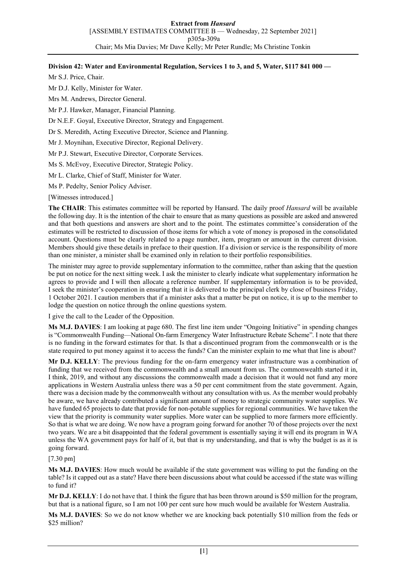## **Division 42: Water and Environmental Regulation, Services 1 to 3, and 5, Water, \$117 841 000 —**

Mr S.J. Price, Chair.

Mr D.J. Kelly, Minister for Water.

Mrs M. Andrews, Director General.

Mr P.J. Hawker, Manager, Financial Planning.

Dr N.E.F. Goyal, Executive Director, Strategy and Engagement.

Dr S. Meredith, Acting Executive Director, Science and Planning.

Mr J. Moynihan, Executive Director, Regional Delivery.

Mr P.J. Stewart, Executive Director, Corporate Services.

Ms S. McEvoy, Executive Director, Strategic Policy.

Mr L. Clarke, Chief of Staff, Minister for Water.

Ms P. Pedelty, Senior Policy Adviser.

[Witnesses introduced.]

**The CHAIR**: This estimates committee will be reported by Hansard. The daily proof *Hansard* will be available the following day. It is the intention of the chair to ensure that as many questions as possible are asked and answered and that both questions and answers are short and to the point. The estimates committee's consideration of the estimates will be restricted to discussion of those items for which a vote of money is proposed in the consolidated account. Questions must be clearly related to a page number, item, program or amount in the current division. Members should give these details in preface to their question. If a division or service is the responsibility of more than one minister, a minister shall be examined only in relation to their portfolio responsibilities.

The minister may agree to provide supplementary information to the committee, rather than asking that the question be put on notice for the next sitting week. I ask the minister to clearly indicate what supplementary information he agrees to provide and I will then allocate a reference number. If supplementary information is to be provided, I seek the minister's cooperation in ensuring that it is delivered to the principal clerk by close of business Friday, 1 October 2021. I caution members that if a minister asks that a matter be put on notice, it is up to the member to lodge the question on notice through the online questions system.

I give the call to the Leader of the Opposition.

**Ms M.J. DAVIES**: I am looking at page 680. The first line item under "Ongoing Initiative" in spending changes is "Commonwealth Funding—National On-farm Emergency Water Infrastructure Rebate Scheme". I note that there is no funding in the forward estimates for that. Is that a discontinued program from the commonwealth or is the state required to put money against it to access the funds? Can the minister explain to me what that line is about?

**Mr D.J. KELLY**: The previous funding for the on-farm emergency water infrastructure was a combination of funding that we received from the commonwealth and a small amount from us. The commonwealth started it in, I think, 2019, and without any discussions the commonwealth made a decision that it would not fund any more applications in Western Australia unless there was a 50 per cent commitment from the state government. Again, there was a decision made by the commonwealth without any consultation with us. As the member would probably be aware, we have already contributed a significant amount of money to strategic community water supplies. We have funded 65 projects to date that provide for non-potable supplies for regional communities. We have taken the view that the priority is community water supplies. More water can be supplied to more farmers more efficiently. So that is what we are doing. We now have a program going forward for another 70 of those projects over the next two years. We are a bit disappointed that the federal government is essentially saying it will end its program in WA unless the WA government pays for half of it, but that is my understanding, and that is why the budget is as it is going forward.

## [7.30 pm]

**Ms M.J. DAVIES**: How much would be available if the state government was willing to put the funding on the table? Is it capped out as a state? Have there been discussions about what could be accessed if the state was willing to fund it?

**Mr D.J. KELLY**: I do not have that. I think the figure that has been thrown around is \$50 million for the program, but that is a national figure, so I am not 100 per cent sure how much would be available for Western Australia.

**Ms M.J. DAVIES**: So we do not know whether we are knocking back potentially \$10 million from the feds or \$25 million?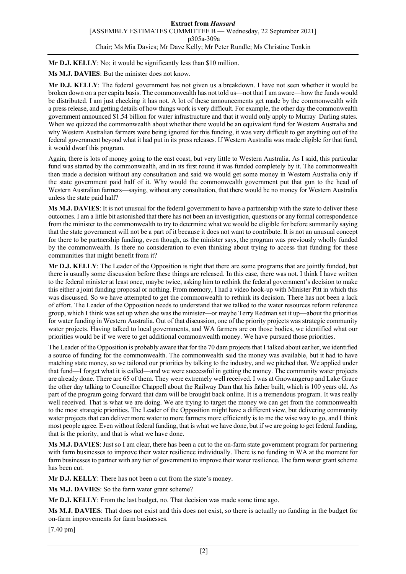**Mr D.J. KELLY**: No; it would be significantly less than \$10 million.

**Ms M.J. DAVIES**: But the minister does not know.

**Mr D.J. KELLY**: The federal government has not given us a breakdown. I have not seen whether it would be broken down on a per capita basis. The commonwealth has not told us—not that I am aware—how the funds would be distributed. I am just checking it has not. A lot of these announcements get made by the commonwealth with a press release, and getting details of how things work is very difficult. For example, the other day the commonwealth government announced \$1.54 billion for water infrastructure and that it would only apply to Murray–Darling states. When we quizzed the commonwealth about whether there would be an equivalent fund for Western Australia and why Western Australian farmers were being ignored for this funding, it was very difficult to get anything out of the federal government beyond what it had put in its press releases. If Western Australia was made eligible for that fund, it would dwarf this program.

Again, there is lots of money going to the east coast, but very little to Western Australia. As I said, this particular fund was started by the commonwealth, and in its first round it was funded completely by it. The commonwealth then made a decision without any consultation and said we would get some money in Western Australia only if the state government paid half of it. Why would the commonwealth government put that gun to the head of Western Australian farmers—saying, without any consultation, that there would be no money for Western Australia unless the state paid half?

**Ms M.J. DAVIES**: It is not unusual for the federal government to have a partnership with the state to deliver these outcomes. I am a little bit astonished that there has not been an investigation, questions or any formal correspondence from the minister to the commonwealth to try to determine what we would be eligible for before summarily saying that the state government will not be a part of it because it does not want to contribute. It is not an unusual concept for there to be partnership funding, even though, as the minister says, the program was previously wholly funded by the commonwealth. Is there no consideration to even thinking about trying to access that funding for these communities that might benefit from it?

**Mr D.J. KELLY**: The Leader of the Opposition is right that there are some programs that are jointly funded, but there is usually some discussion before these things are released. In this case, there was not. I think I have written to the federal minister at least once, maybe twice, asking him to rethink the federal government's decision to make this either a joint funding proposal or nothing. From memory, I had a video hook-up with Minister Pitt in which this was discussed. So we have attempted to get the commonwealth to rethink its decision. There has not been a lack of effort. The Leader of the Opposition needs to understand that we talked to the water resources reform reference group, which I think was set up when she was the minister—or maybe Terry Redman set it up—about the priorities for water funding in Western Australia. Out of that discussion, one of the priority projects was strategic community water projects. Having talked to local governments, and WA farmers are on those bodies, we identified what our priorities would be if we were to get additional commonwealth money. We have pursued those priorities.

The Leader of the Opposition is probably aware that for the 70 dam projects that I talked about earlier, we identified a source of funding for the commonwealth. The commonwealth said the money was available, but it had to have matching state money, so we tailored our priorities by talking to the industry, and we pitched that. We applied under that fund—I forget what it is called—and we were successful in getting the money. The community water projects are already done. There are 65 of them. They were extremely well received. I was at Gnowangerup and Lake Grace the other day talking to Councillor Chappell about the Railway Dam that his father built, which is 100 years old. As part of the program going forward that dam will be brought back online. It is a tremendous program. It was really well received. That is what we are doing. We are trying to target the money we can get from the commonwealth to the most strategic priorities. The Leader of the Opposition might have a different view, but delivering community water projects that can deliver more water to more farmers more efficiently is to me the wise way to go, and I think most people agree. Even without federal funding, that is what we have done, but if we are going to get federal funding, that is the priority, and that is what we have done.

**Ms M.J. DAVIES**: Just so I am clear, there has been a cut to the on-farm state government program for partnering with farm businesses to improve their water resilience individually. There is no funding in WA at the moment for farm businesses to partner with any tier of government to improve their water resilience. The farm water grant scheme has been cut.

**Mr D.J. KELLY**: There has not been a cut from the state's money.

**Ms M.J. DAVIES**: So the farm water grant scheme?

**Mr D.J. KELLY**: From the last budget, no. That decision was made some time ago.

**Ms M.J. DAVIES**: That does not exist and this does not exist, so there is actually no funding in the budget for on-farm improvements for farm businesses.

[7.40 pm]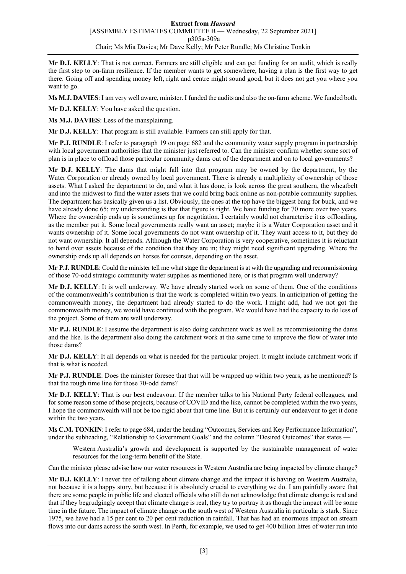**Mr D.J. KELLY**: That is not correct. Farmers are still eligible and can get funding for an audit, which is really the first step to on-farm resilience. If the member wants to get somewhere, having a plan is the first way to get there. Going off and spending money left, right and centre might sound good, but it does not get you where you want to go.

**Ms M.J. DAVIES**: I am very well aware, minister. I funded the audits and also the on-farm scheme. We funded both.

**Mr D.J. KELLY**: You have asked the question.

**Ms M.J. DAVIES**: Less of the mansplaining.

**Mr D.J. KELLY**: That program is still available. Farmers can still apply for that.

**Mr P.J. RUNDLE**: I refer to paragraph 19 on page 682 and the community water supply program in partnership with local government authorities that the minister just referred to. Can the minister confirm whether some sort of plan is in place to offload those particular community dams out of the department and on to local governments?

**Mr D.J. KELLY**: The dams that might fall into that program may be owned by the department, by the Water Corporation or already owned by local government. There is already a multiplicity of ownership of those assets. What I asked the department to do, and what it has done, is look across the great southern, the wheatbelt and into the midwest to find the water assets that we could bring back online as non-potable community supplies. The department has basically given us a list. Obviously, the ones at the top have the biggest bang for buck, and we have already done 65; my understanding is that that figure is right. We have funding for 70 more over two years. Where the ownership ends up is sometimes up for negotiation. I certainly would not characterise it as offloading, as the member put it. Some local governments really want an asset; maybe it is a Water Corporation asset and it wants ownership of it. Some local governments do not want ownership of it. They want access to it, but they do not want ownership. It all depends. Although the Water Corporation is very cooperative, sometimes it is reluctant to hand over assets because of the condition that they are in; they might need significant upgrading. Where the ownership ends up all depends on horses for courses, depending on the asset.

**Mr P.J. RUNDLE**: Could the minister tell me what stage the department is at with the upgrading and recommissioning of those 70-odd strategic community water supplies as mentioned here, or is that program well underway?

**Mr D.J. KELLY**: It is well underway. We have already started work on some of them. One of the conditions of the commonwealth's contribution is that the work is completed within two years. In anticipation of getting the commonwealth money, the department had already started to do the work. I might add, had we not got the commonwealth money, we would have continued with the program. We would have had the capacity to do less of the project. Some of them are well underway.

**Mr P.J. RUNDLE**: I assume the department is also doing catchment work as well as recommissioning the dams and the like. Is the department also doing the catchment work at the same time to improve the flow of water into those dams?

**Mr D.J. KELLY**: It all depends on what is needed for the particular project. It might include catchment work if that is what is needed.

**Mr P.J. RUNDLE**: Does the minister foresee that that will be wrapped up within two years, as he mentioned? Is that the rough time line for those 70-odd dams?

**Mr D.J. KELLY**: That is our best endeavour. If the member talks to his National Party federal colleagues, and for some reason some of those projects, because of COVID and the like, cannot be completed within the two years, I hope the commonwealth will not be too rigid about that time line. But it is certainly our endeavour to get it done within the two years.

**Ms C.M. TONKIN**: I refer to page 684, under the heading "Outcomes, Services and Key Performance Information", under the subheading, "Relationship to Government Goals" and the column "Desired Outcomes" that states -

Western Australia's growth and development is supported by the sustainable management of water resources for the long-term benefit of the State.

Can the minister please advise how our water resources in Western Australia are being impacted by climate change?

**Mr D.J. KELLY**: I never tire of talking about climate change and the impact it is having on Western Australia, not because it is a happy story, but because it is absolutely crucial to everything we do. I am painfully aware that there are some people in public life and elected officials who still do not acknowledge that climate change is real and that if they begrudgingly accept that climate change is real, they try to portray it as though the impact will be some time in the future. The impact of climate change on the south west of Western Australia in particular is stark. Since 1975, we have had a 15 per cent to 20 per cent reduction in rainfall. That has had an enormous impact on stream flows into our dams across the south west. In Perth, for example, we used to get 400 billion litres of water run into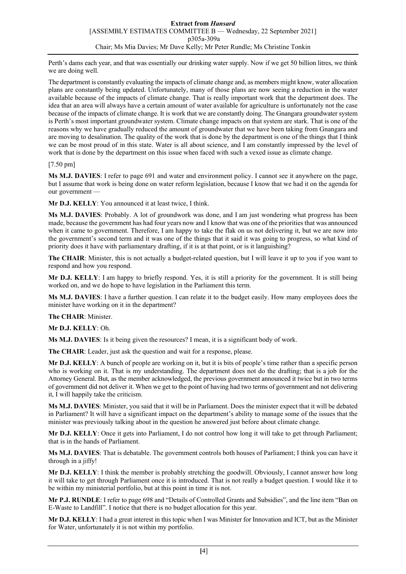Perth's dams each year, and that was essentially our drinking water supply. Now if we get 50 billion litres, we think we are doing well.

The department is constantly evaluating the impacts of climate change and, as members might know, water allocation plans are constantly being updated. Unfortunately, many of those plans are now seeing a reduction in the water available because of the impacts of climate change. That is really important work that the department does. The idea that an area will always have a certain amount of water available for agriculture is unfortunately not the case because of the impacts of climate change. It is work that we are constantly doing. The Gnangara groundwater system is Perth's most important groundwater system. Climate change impacts on that system are stark. That is one of the reasons why we have gradually reduced the amount of groundwater that we have been taking from Gnangara and are moving to desalination. The quality of the work that is done by the department is one of the things that I think we can be most proud of in this state. Water is all about science, and I am constantly impressed by the level of work that is done by the department on this issue when faced with such a vexed issue as climate change.

## [7.50 pm]

**Ms M.J. DAVIES**: I refer to page 691 and water and environment policy. I cannot see it anywhere on the page, but I assume that work is being done on water reform legislation, because I know that we had it on the agenda for our government —

**Mr D.J. KELLY**: You announced it at least twice, I think.

**Ms M.J. DAVIES**: Probably. A lot of groundwork was done, and I am just wondering what progress has been made, because the government has had four years now and I know that was one of the priorities that was announced when it came to government. Therefore, I am happy to take the flak on us not delivering it, but we are now into the government's second term and it was one of the things that it said it was going to progress, so what kind of priority does it have with parliamentary drafting, if it is at that point, or is it languishing?

**The CHAIR**: Minister, this is not actually a budget-related question, but I will leave it up to you if you want to respond and how you respond.

**Mr D.J. KELLY**: I am happy to briefly respond. Yes, it is still a priority for the government. It is still being worked on, and we do hope to have legislation in the Parliament this term.

**Ms M.J. DAVIES**: I have a further question. I can relate it to the budget easily. How many employees does the minister have working on it in the department?

**The CHAIR**: Minister.

**Mr D.J. KELLY**: Oh.

**Ms M.J. DAVIES**: Is it being given the resources? I mean, it is a significant body of work.

**The CHAIR**: Leader, just ask the question and wait for a response, please.

**Mr D.J. KELLY**: A bunch of people are working on it, but it is bits of people's time rather than a specific person who is working on it. That is my understanding. The department does not do the drafting; that is a job for the Attorney General. But, as the member acknowledged, the previous government announced it twice but in two terms of government did not deliver it. When we get to the point of having had two terms of government and not delivering it, I will happily take the criticism.

**Ms M.J. DAVIES**: Minister, you said that it will be in Parliament. Does the minister expect that it will be debated in Parliament? It will have a significant impact on the department's ability to manage some of the issues that the minister was previously talking about in the question he answered just before about climate change.

**Mr D.J. KELLY**: Once it gets into Parliament, I do not control how long it will take to get through Parliament; that is in the hands of Parliament.

**Ms M.J. DAVIES**: That is debatable. The government controls both houses of Parliament; I think you can have it through in a jiffy!

**Mr D.J. KELLY**: I think the member is probably stretching the goodwill. Obviously, I cannot answer how long it will take to get through Parliament once it is introduced. That is not really a budget question. I would like it to be within my ministerial portfolio, but at this point in time it is not.

**Mr P.J. RUNDLE**: I refer to page 698 and "Details of Controlled Grants and Subsidies", and the line item "Ban on E-Waste to Landfill". I notice that there is no budget allocation for this year.

**Mr D.J. KELLY**: I had a great interest in this topic when I was Minister for Innovation and ICT, but as the Minister for Water, unfortunately it is not within my portfolio.